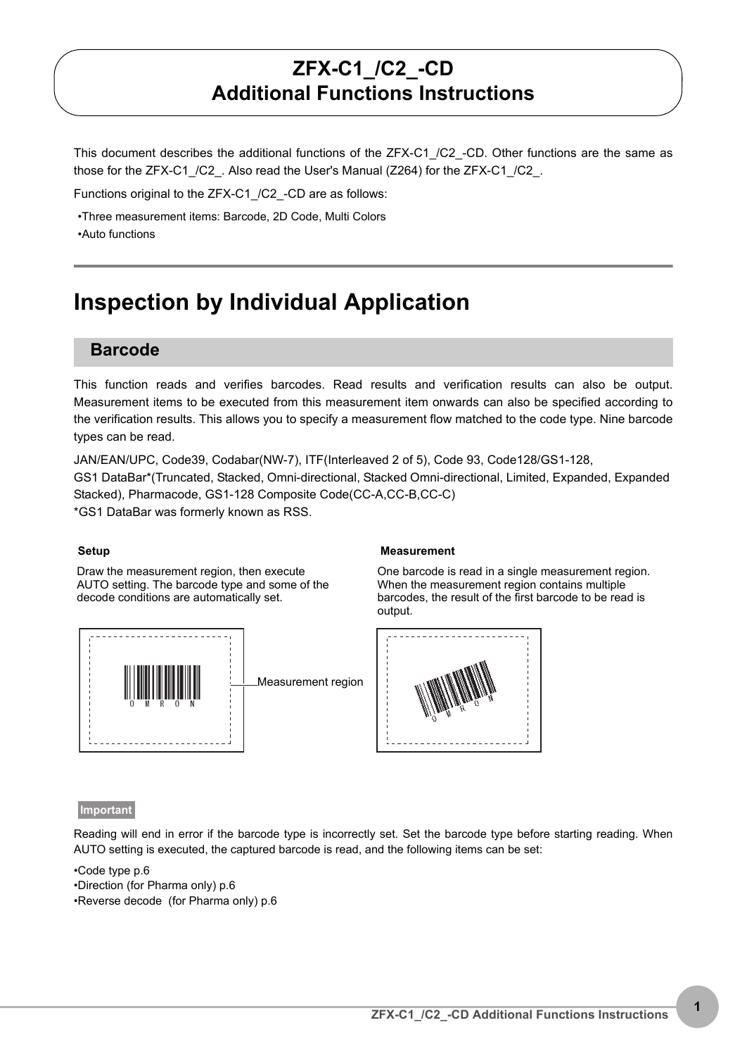# **ZFX-C1\_/C2\_-CD Additional Functions Instructions**

This document describes the additional functions of the ZFX-C1\_/C2\_-CD. Other functions are the same as those for the ZFX-C1 /C2. Also read the User's Manual (Z264) for the ZFX-C1 /C2.

Functions original to the ZFX-C1 /C2 -CD are as follows:

•Three measurement items: Barcode, 2D Code, Multi Colors

•Auto functions

# **Inspection by Individual Application**

#### **Barcode**

This function reads and verifies barcodes. Read results and verification results can also be output. Measurement items to be executed from this measurement item onwards can also be specified according to the verification results. This allows you to specify a measurement flow matched to the code type. Nine barcode types can be read.

JAN/EAN/UPC, Code39, Codabar(NW-7), ITF(Interleaved 2 of 5), Code 93, Code128/GS1-128, GS1 DataBar\*(Truncated, Stacked, Omni-directional, Stacked Omni-directional, Limited, Expanded, Expanded Stacked), Pharmacode, GS1-128 Composite Code(CC-A,CC-B,CC-C) \*GS1 DataBar was formerly known as RSS.

Draw the measurement region, then execute AUTO setting. The barcode type and some of the decode conditions are automatically set.



Measurement region

#### **Setup Measurement**

One barcode is read in a single measurement region. When the measurement region contains multiple barcodes, the result of the first barcode to be read is output.



#### **Important**

Reading will end in error if the barcode type is incorrectly set. Set the barcode type before starting reading. When AUTO setting is executed, the captured barcode is read, and the following items can be set:

•Code type [p.6](#page-5-0)

- •Direction (for Pharma only) [p.6](#page-5-1)
- •Reverse decode (for Pharma only) [p.6](#page-5-2)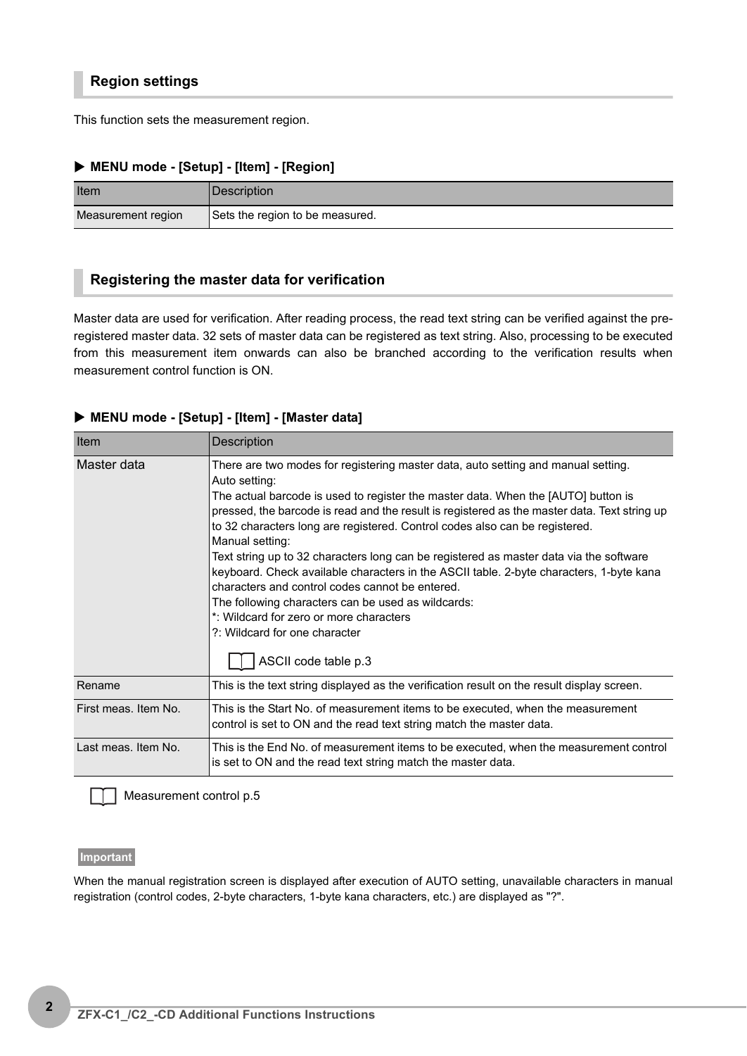#### **Region settings**

This function sets the measurement region.

#### X **MENU mode - [Setup] - [Item] - [Region]**

| Item               | Description                     |
|--------------------|---------------------------------|
| Measurement region | Sets the region to be measured. |

#### <span id="page-1-0"></span>**Registering the master data for verification**

Master data are used for verification. After reading process, the read text string can be verified against the preregistered master data. 32 sets of master data can be registered as text string. Also, processing to be executed from this measurement item onwards can also be branched according to the verification results when measurement control function is ON.

#### X **MENU mode - [Setup] - [Item] - [Master data]**

| Item                 | <b>Description</b>                                                                                                                                                                                                                                                                                                                                                                                                                                                                                                                                                                                                                                                                                                                                                                          |
|----------------------|---------------------------------------------------------------------------------------------------------------------------------------------------------------------------------------------------------------------------------------------------------------------------------------------------------------------------------------------------------------------------------------------------------------------------------------------------------------------------------------------------------------------------------------------------------------------------------------------------------------------------------------------------------------------------------------------------------------------------------------------------------------------------------------------|
| Master data          | There are two modes for registering master data, auto setting and manual setting.<br>Auto setting:<br>The actual barcode is used to register the master data. When the [AUTO] button is<br>pressed, the barcode is read and the result is registered as the master data. Text string up<br>to 32 characters long are registered. Control codes also can be registered.<br>Manual setting:<br>Text string up to 32 characters long can be registered as master data via the software<br>keyboard. Check available characters in the ASCII table. 2-byte characters, 1-byte kana<br>characters and control codes cannot be entered.<br>The following characters can be used as wildcards:<br>*: Wildcard for zero or more characters<br>?: Wildcard for one character<br>ASCII code table p.3 |
| Rename               | This is the text string displayed as the verification result on the result display screen.                                                                                                                                                                                                                                                                                                                                                                                                                                                                                                                                                                                                                                                                                                  |
| First meas. Item No. | This is the Start No. of measurement items to be executed, when the measurement<br>control is set to ON and the read text string match the master data.                                                                                                                                                                                                                                                                                                                                                                                                                                                                                                                                                                                                                                     |
| Last meas. Item No.  | This is the End No. of measurement items to be executed, when the measurement control<br>is set to ON and the read text string match the master data.                                                                                                                                                                                                                                                                                                                                                                                                                                                                                                                                                                                                                                       |

Measurement control [p.5](#page-4-0)

#### **Important**

When the manual registration screen is displayed after execution of AUTO setting, unavailable characters in manual registration (control codes, 2-byte characters, 1-byte kana characters, etc.) are displayed as "?".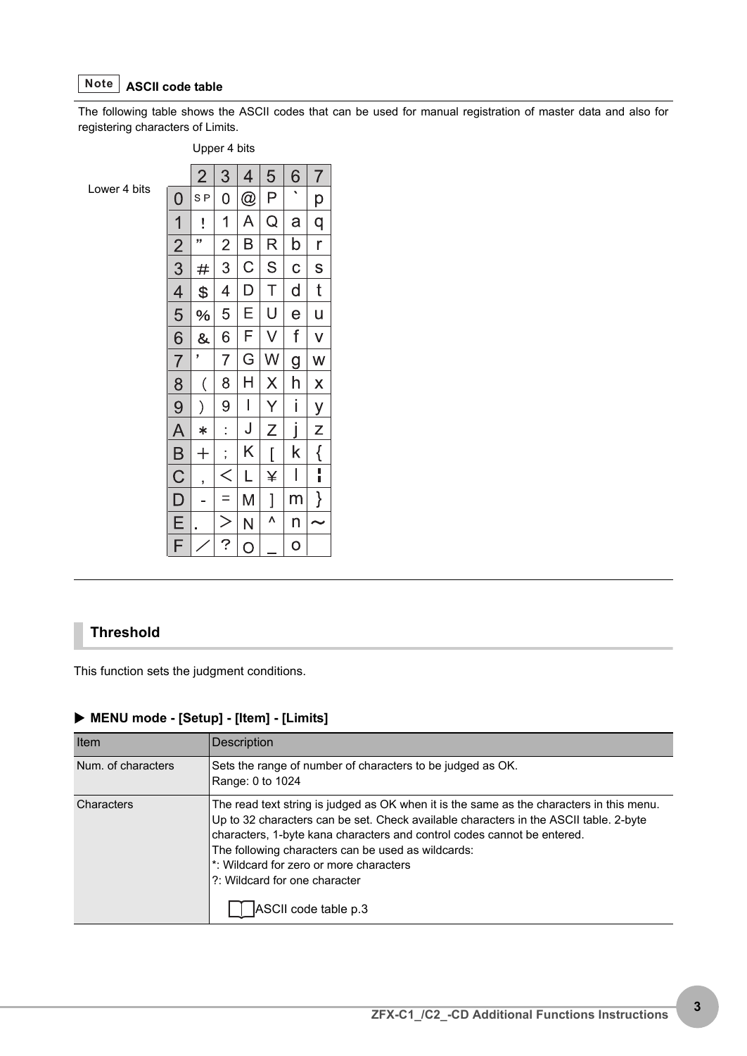#### <span id="page-2-0"></span>**ASCII code table Note**

The following table shows the ASCII codes that can be used for manual registration of master data and also for registering characters of Limits.

#### Upper 4 bits

Lower 4 bits

|                         | $\overline{2}$                | 3              | $\overline{\mathcal{A}}$ | 5                       | $\frac{6}{1}$  | 7                       |
|-------------------------|-------------------------------|----------------|--------------------------|-------------------------|----------------|-------------------------|
| $\overline{0}$          | S <sub>P</sub>                | 0              | @                        | P                       |                | $\overline{p}$          |
| $\overline{\mathbf{1}}$ | ŗ                             | 1              | A                        | Q                       | a              | q                       |
| $\frac{2}{3}$           | ,,                            | $\overline{2}$ | B                        | R                       | b              | r                       |
|                         | #                             | 3              | C                        | S                       | $\overline{C}$ | S                       |
|                         | \$                            | 4              | $\overline{D}$           | T                       | d              | t                       |
| $\frac{4}{5}$           | %                             | 5              | E                        | U                       | e              | U                       |
| 6                       | &                             | $\overline{6}$ | F                        | V                       | f              | $\checkmark$            |
| $\overline{7}$          | ,                             | $\overline{7}$ | G                        | W                       | $\overline{g}$ | W                       |
| $\frac{8}{6}$           | $\overline{\left( \right. }%$ | 8              | Н                        | X                       | h              | $\overline{\mathsf{x}}$ |
| $\overline{9}$          | $\mathcal{E}$                 | 9              | $\overline{\phantom{a}}$ | $\frac{Y}{1}$           | j              | <u>y</u>                |
| A                       | $\ast$                        | $\vdots$       | J                        | Z                       | j              | $\overline{z}$          |
|                         | $\hspace{0.1mm} +$            | $\vdots$       | K                        | $\overline{\mathsf{I}}$ | k              | $\frac{1}{1}$           |
| $rac{B}{C}$             | ,                             | $\zeta$        | L                        | ¥                       | $\mathsf I$    |                         |
| $\frac{D}{F}$           |                               | $=$            | M                        | $\overline{\mathbf{l}}$ | m              | $\}$                    |
|                         |                               | $\frac{>}{?}$  | N                        | ٨                       | n              |                         |
|                         |                               |                | O                        |                         | $\overline{O}$ |                         |

#### **Threshold**

This function sets the judgment conditions.

## X **MENU mode - [Setup] - [Item] - [Limits]**

| <b>Description</b>                                                                                                                                                                                                                                                                                                                                                                                                     |
|------------------------------------------------------------------------------------------------------------------------------------------------------------------------------------------------------------------------------------------------------------------------------------------------------------------------------------------------------------------------------------------------------------------------|
| Sets the range of number of characters to be judged as OK.<br>Range: 0 to 1024                                                                                                                                                                                                                                                                                                                                         |
| The read text string is judged as OK when it is the same as the characters in this menu.<br>Up to 32 characters can be set. Check available characters in the ASCII table. 2-byte<br>characters, 1-byte kana characters and control codes cannot be entered.<br>The following characters can be used as wildcards:<br>t: Wildcard for zero or more characters<br>2: Wildcard for one character<br>ASCII code table p.3 |
|                                                                                                                                                                                                                                                                                                                                                                                                                        |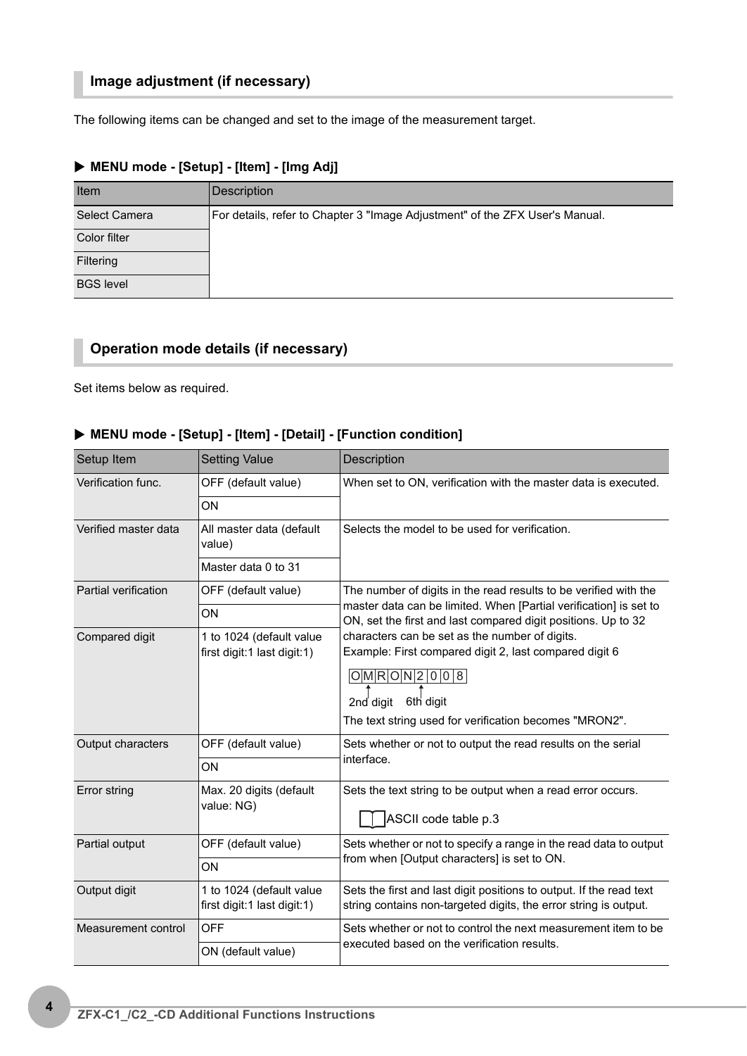# **Image adjustment (if necessary)**

The following items can be changed and set to the image of the measurement target.

| Item             | Description                                                                  |
|------------------|------------------------------------------------------------------------------|
| Select Camera    | For details, refer to Chapter 3 "Image Adjustment" of the ZFX User's Manual. |
| Color filter     |                                                                              |
| Filtering        |                                                                              |
| <b>BGS level</b> |                                                                              |

## X **MENU mode - [Setup] - [Item] - [Img Adj]**

# **Operation mode details (if necessary)**

Set items below as required.

#### X **MENU mode - [Setup] - [Item] - [Detail] - [Function condition]**

| Setup Item           | <b>Setting Value</b>                                    | Description                                                                                                                                                                                                    |  |
|----------------------|---------------------------------------------------------|----------------------------------------------------------------------------------------------------------------------------------------------------------------------------------------------------------------|--|
| Verification func.   | OFF (default value)                                     | When set to ON, verification with the master data is executed.                                                                                                                                                 |  |
|                      | ON                                                      |                                                                                                                                                                                                                |  |
| Verified master data | All master data (default<br>value)                      | Selects the model to be used for verification.                                                                                                                                                                 |  |
|                      | Master data 0 to 31                                     |                                                                                                                                                                                                                |  |
| Partial verification | OFF (default value)                                     | The number of digits in the read results to be verified with the                                                                                                                                               |  |
|                      | ON                                                      | master data can be limited. When [Partial verification] is set to<br>ON, set the first and last compared digit positions. Up to 32                                                                             |  |
| Compared digit       | 1 to 1024 (default value<br>first digit:1 last digit:1) | characters can be set as the number of digits.<br>Example: First compared digit 2, last compared digit 6<br>O M R O N 2 0 0 8<br>2nd digit 6th digit<br>The text string used for verification becomes "MRON2". |  |
| Output characters    | OFF (default value)                                     | Sets whether or not to output the read results on the serial                                                                                                                                                   |  |
|                      | ON                                                      | interface.                                                                                                                                                                                                     |  |
| Error string         | Max. 20 digits (default<br>value: NG)                   | Sets the text string to be output when a read error occurs.<br>ASCII code table p.3                                                                                                                            |  |
| Partial output       | OFF (default value)                                     | Sets whether or not to specify a range in the read data to output                                                                                                                                              |  |
|                      | ON                                                      | from when [Output characters] is set to ON.                                                                                                                                                                    |  |
| Output digit         | 1 to 1024 (default value<br>first digit:1 last digit:1) | Sets the first and last digit positions to output. If the read text<br>string contains non-targeted digits, the error string is output.                                                                        |  |
| Measurement control  | OFF                                                     | Sets whether or not to control the next measurement item to be                                                                                                                                                 |  |
|                      | ON (default value)                                      | executed based on the verification results.                                                                                                                                                                    |  |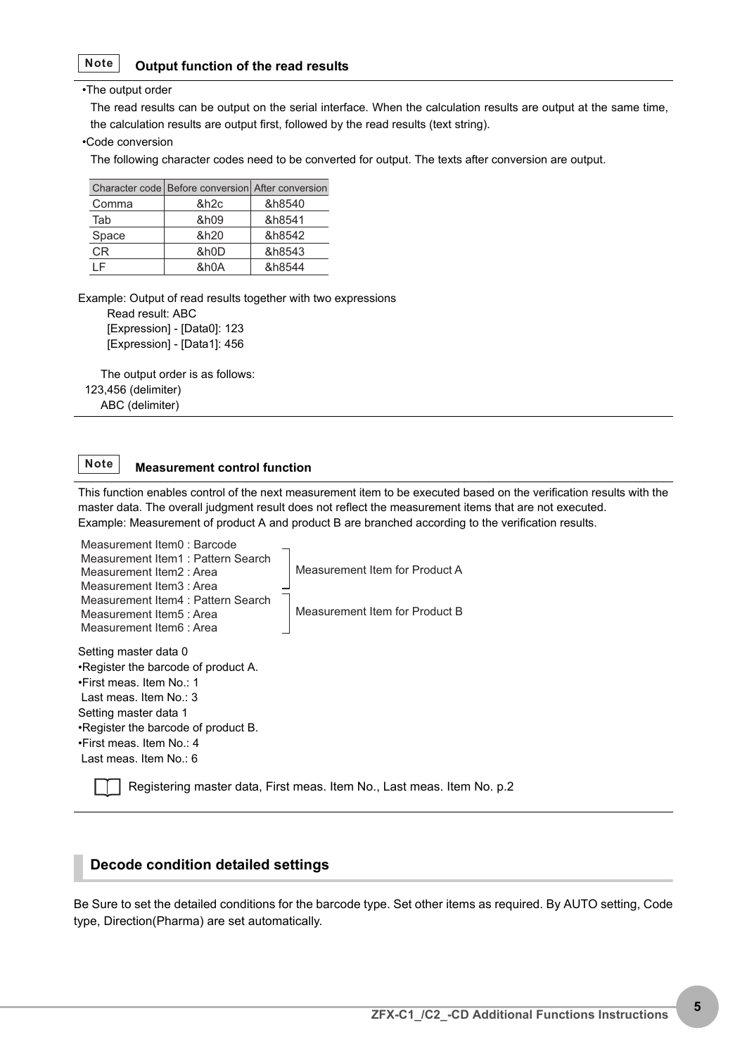#### <span id="page-4-1"></span>**Output function of the read results Note**

#### •The output order

The read results can be output on the serial interface. When the calculation results are output at the same time, the calculation results are output first, followed by the read results (text string).

#### •Code conversion

The following character codes need to be converted for output. The texts after conversion are output.

|       | Character code   Before conversion   After conversion |        |
|-------|-------------------------------------------------------|--------|
| Comma | &h2c                                                  | &h8540 |
| Tab   | &h09                                                  | &h8541 |
| Space | &h20                                                  | &h8542 |
| CR.   | &h0D                                                  | &h8543 |
|       | &h0A                                                  | &h8544 |

Example: Output of read results together with two expressions

 Read result: ABC [Expression] - [Data0]: 123 [Expression] - [Data1]: 456

 The output order is as follows: 123,456 (delimiter) ABC (delimiter)

#### <span id="page-4-0"></span>**Measurement control function Note**

This function enables control of the next measurement item to be executed based on the verification results with the master data. The overall judgment result does not reflect the measurement items that are not executed. Example: Measurement of product A and product B are branched according to the verification results.



Registering master data, First meas. Item No., Last meas. Item No. [p.2](#page-1-0)

#### **Decode condition detailed settings**

Be Sure to set the detailed conditions for the barcode type. Set other items as required. By AUTO setting, Code type, Direction(Pharma) are set automatically.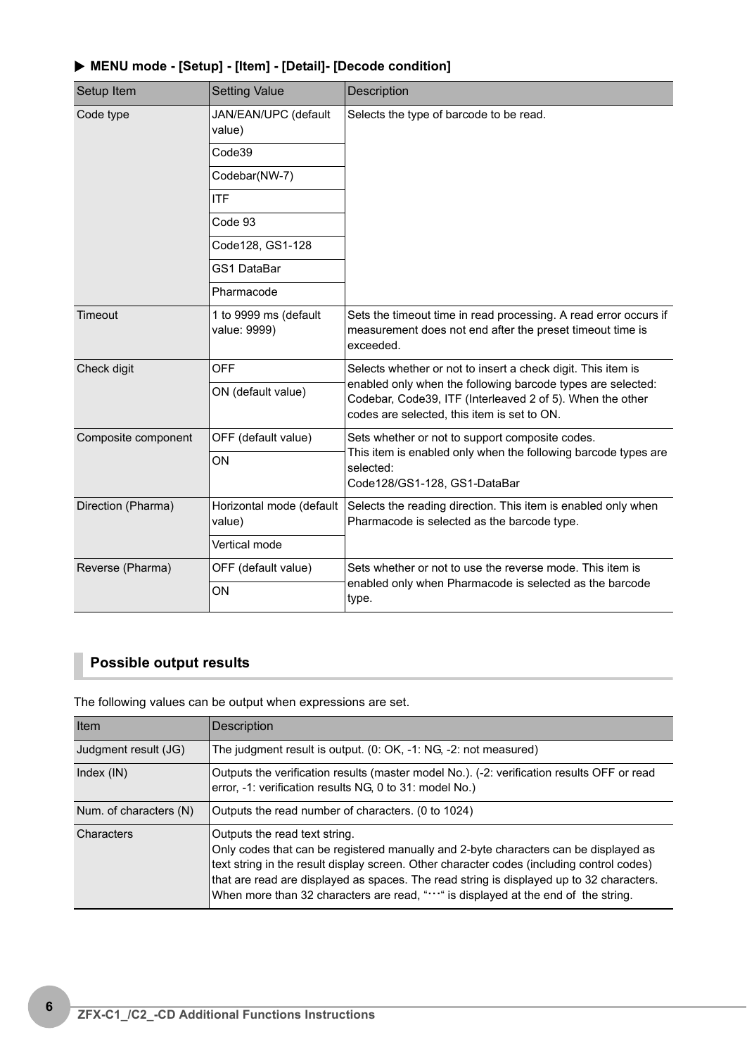<span id="page-5-0"></span>

| Setup Item          | <b>Setting Value</b>                  | <b>Description</b>                                                                                                                                                      |  |
|---------------------|---------------------------------------|-------------------------------------------------------------------------------------------------------------------------------------------------------------------------|--|
| Code type           | JAN/EAN/UPC (default<br>value)        | Selects the type of barcode to be read.                                                                                                                                 |  |
|                     | Code39                                |                                                                                                                                                                         |  |
|                     | Codebar(NW-7)                         |                                                                                                                                                                         |  |
|                     | <b>ITF</b>                            |                                                                                                                                                                         |  |
|                     | Code 93                               |                                                                                                                                                                         |  |
|                     | Code128, GS1-128                      |                                                                                                                                                                         |  |
|                     | <b>GS1 DataBar</b>                    |                                                                                                                                                                         |  |
|                     | Pharmacode                            |                                                                                                                                                                         |  |
| Timeout             | 1 to 9999 ms (default<br>value: 9999) | Sets the timeout time in read processing. A read error occurs if<br>measurement does not end after the preset timeout time is<br>exceeded.                              |  |
| Check digit         | <b>OFF</b>                            | Selects whether or not to insert a check digit. This item is                                                                                                            |  |
|                     | ON (default value)                    | enabled only when the following barcode types are selected:<br>Codebar, Code39, ITF (Interleaved 2 of 5). When the other<br>codes are selected, this item is set to ON. |  |
| Composite component | OFF (default value)                   | Sets whether or not to support composite codes.                                                                                                                         |  |
|                     | ON                                    | This item is enabled only when the following barcode types are<br>selected:<br>Code128/GS1-128, GS1-DataBar                                                             |  |
| Direction (Pharma)  | Horizontal mode (default<br>value)    | Selects the reading direction. This item is enabled only when<br>Pharmacode is selected as the barcode type.                                                            |  |
|                     | Vertical mode                         |                                                                                                                                                                         |  |
| Reverse (Pharma)    | OFF (default value)                   | Sets whether or not to use the reverse mode. This item is                                                                                                               |  |
|                     | ON                                    | enabled only when Pharmacode is selected as the barcode<br>type.                                                                                                        |  |

## X **MENU mode - [Setup] - [Item] - [Detail]- [Decode condition]**

# <span id="page-5-2"></span><span id="page-5-1"></span>**Possible output results**

The following values can be output when expressions are set.

| Item                   | Description                                                                                                                                                                                                                                                                                                                                                                                        |
|------------------------|----------------------------------------------------------------------------------------------------------------------------------------------------------------------------------------------------------------------------------------------------------------------------------------------------------------------------------------------------------------------------------------------------|
| Judgment result (JG)   | The judgment result is output. (0: OK, -1: NG, -2: not measured)                                                                                                                                                                                                                                                                                                                                   |
| Index $(IN)$           | Outputs the verification results (master model No.). (-2: verification results OFF or read<br>error, -1: verification results NG, 0 to 31: model No.)                                                                                                                                                                                                                                              |
| Num. of characters (N) | Outputs the read number of characters. (0 to 1024)                                                                                                                                                                                                                                                                                                                                                 |
| Characters             | Outputs the read text string.<br>Only codes that can be registered manually and 2-byte characters can be displayed as<br>text string in the result display screen. Other character codes (including control codes)<br>that are read are displayed as spaces. The read string is displayed up to 32 characters.<br>When more than 32 characters are read, "" is displayed at the end of the string. |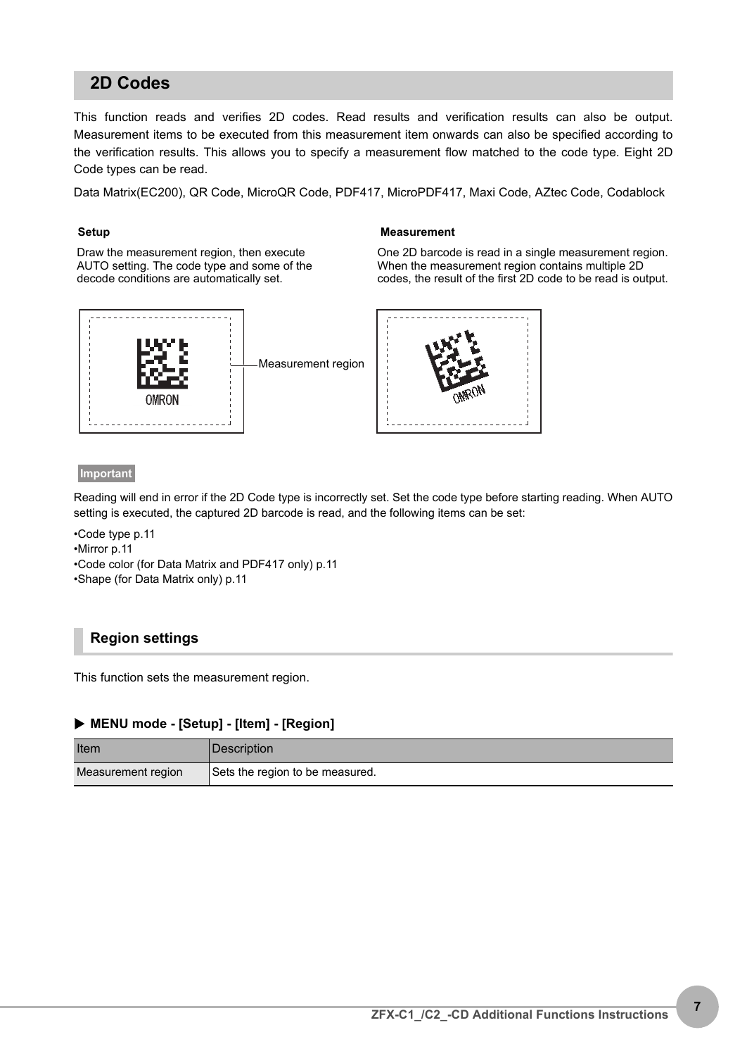# **2D Codes**

This function reads and verifies 2D codes. Read results and verification results can also be output. Measurement items to be executed from this measurement item onwards can also be specified according to the verification results. This allows you to specify a measurement flow matched to the code type. Eight 2D Code types can be read.

Data Matrix(EC200), QR Code, MicroQR Code, PDF417, MicroPDF417, Maxi Code, AZtec Code, Codablock

Draw the measurement region, then execute AUTO setting. The code type and some of the decode conditions are automatically set.



#### **Setup Measurement**

One 2D barcode is read in a single measurement region. When the measurement region contains multiple 2D codes, the result of the first 2D code to be read is output.



#### **Important**

Reading will end in error if the 2D Code type is incorrectly set. Set the code type before starting reading. When AUTO setting is executed, the captured 2D barcode is read, and the following items can be set:

- •Code type [p.11](#page-10-0)
- •Mirror [p.11](#page-10-1)
- •Code color (for Data Matrix and PDF417 only) [p.11](#page-10-2)
- •Shape (for Data Matrix only) [p.11](#page-10-3)

#### **Region settings**

This function sets the measurement region.

#### X **MENU mode - [Setup] - [Item] - [Region]**

| Item               | Description                     |
|--------------------|---------------------------------|
| Measurement region | Sets the region to be measured. |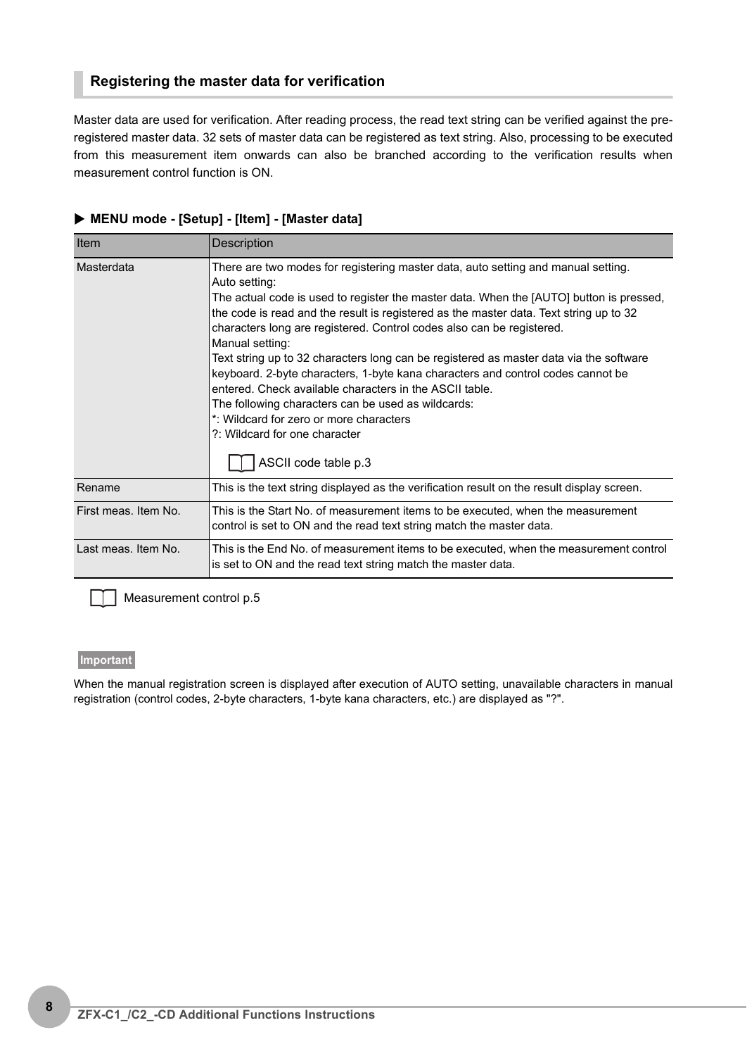#### **Registering the master data for verification**

Master data are used for verification. After reading process, the read text string can be verified against the preregistered master data. 32 sets of master data can be registered as text string. Also, processing to be executed from this measurement item onwards can also be branched according to the verification results when measurement control function is ON.

| Item                 | <b>Description</b>                                                                                                                                                                                                                                                                                                                                                                                                                                                                                                                                                                                                                                                                                                                                                                    |
|----------------------|---------------------------------------------------------------------------------------------------------------------------------------------------------------------------------------------------------------------------------------------------------------------------------------------------------------------------------------------------------------------------------------------------------------------------------------------------------------------------------------------------------------------------------------------------------------------------------------------------------------------------------------------------------------------------------------------------------------------------------------------------------------------------------------|
| Masterdata           | There are two modes for registering master data, auto setting and manual setting.<br>Auto setting:<br>The actual code is used to register the master data. When the [AUTO] button is pressed,<br>the code is read and the result is registered as the master data. Text string up to 32<br>characters long are registered. Control codes also can be registered.<br>Manual setting:<br>Text string up to 32 characters long can be registered as master data via the software<br>keyboard. 2-byte characters, 1-byte kana characters and control codes cannot be<br>entered. Check available characters in the ASCII table.<br>The following characters can be used as wildcards:<br>*: Wildcard for zero or more characters<br>?: Wildcard for one character<br>ASCII code table p.3 |
| Rename               | This is the text string displayed as the verification result on the result display screen.                                                                                                                                                                                                                                                                                                                                                                                                                                                                                                                                                                                                                                                                                            |
| First meas. Item No. | This is the Start No. of measurement items to be executed, when the measurement<br>control is set to ON and the read text string match the master data.                                                                                                                                                                                                                                                                                                                                                                                                                                                                                                                                                                                                                               |
| Last meas. Item No.  | This is the End No. of measurement items to be executed, when the measurement control<br>is set to ON and the read text string match the master data.                                                                                                                                                                                                                                                                                                                                                                                                                                                                                                                                                                                                                                 |

#### X **MENU mode - [Setup] - [Item] - [Master data]**

Measurement control [p.5](#page-4-0)

#### **Important**

When the manual registration screen is displayed after execution of AUTO setting, unavailable characters in manual registration (control codes, 2-byte characters, 1-byte kana characters, etc.) are displayed as "?".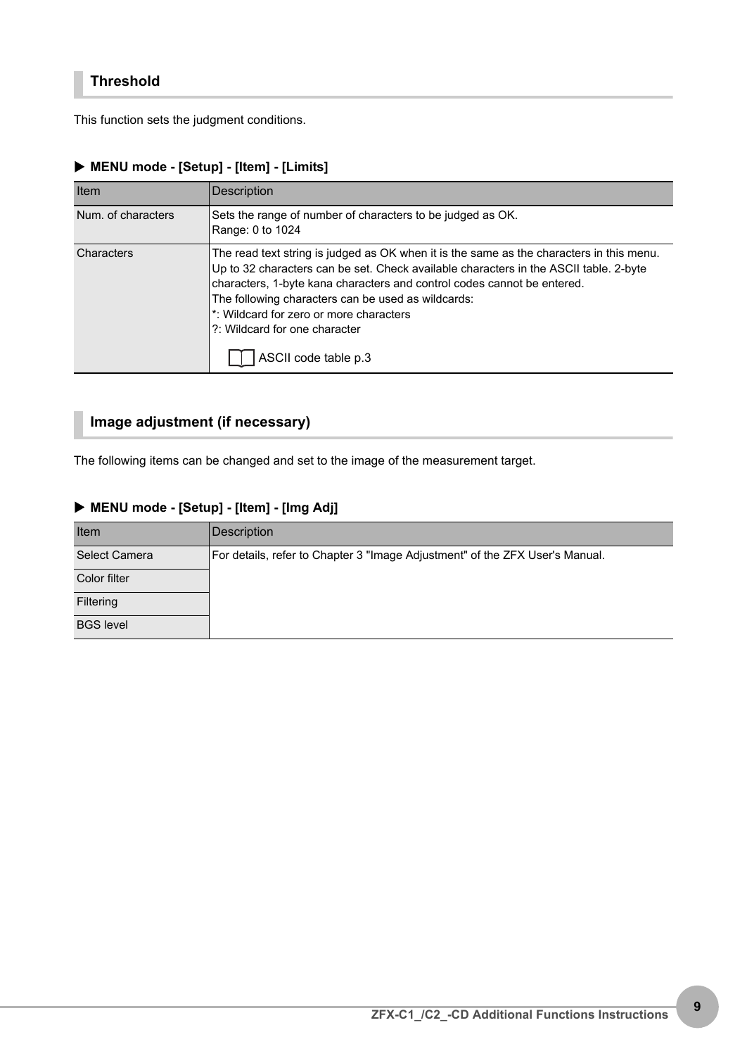This function sets the judgment conditions.

| Item               | <b>Description</b>                                                                                                                                                                                                                                                                                                                                                                                                     |
|--------------------|------------------------------------------------------------------------------------------------------------------------------------------------------------------------------------------------------------------------------------------------------------------------------------------------------------------------------------------------------------------------------------------------------------------------|
| Num. of characters | Sets the range of number of characters to be judged as OK.<br>Range: 0 to 1024                                                                                                                                                                                                                                                                                                                                         |
| Characters         | The read text string is judged as OK when it is the same as the characters in this menu.<br>Up to 32 characters can be set. Check available characters in the ASCII table. 2-byte<br>characters, 1-byte kana characters and control codes cannot be entered.<br>The following characters can be used as wildcards:<br>*: Wildcard for zero or more characters<br>?: Wildcard for one character<br>ASCII code table p.3 |

# X **MENU mode - [Setup] - [Item] - [Limits]**

# **Image adjustment (if necessary)**

The following items can be changed and set to the image of the measurement target.

#### X **MENU mode - [Setup] - [Item] - [Img Adj]**

| Item                 | Description                                                                  |
|----------------------|------------------------------------------------------------------------------|
| <b>Select Camera</b> | For details, refer to Chapter 3 "Image Adjustment" of the ZFX User's Manual. |
| Color filter         |                                                                              |
| Filtering            |                                                                              |
| <b>BGS level</b>     |                                                                              |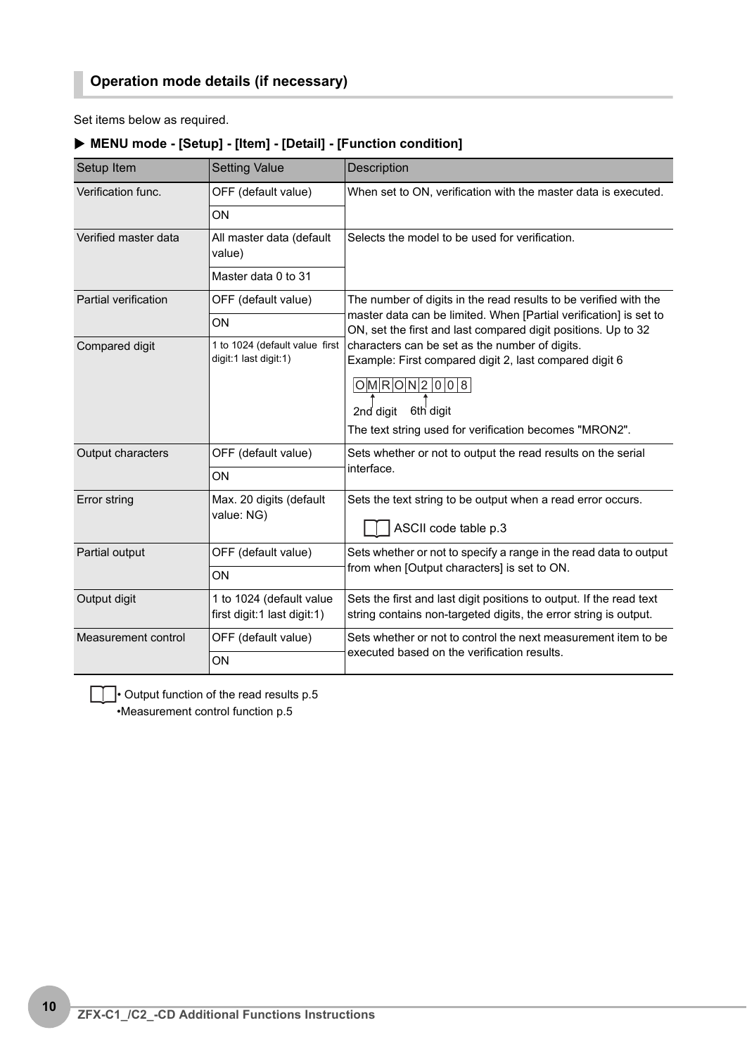Set items below as required.

| Setup Item           | <b>Setting Value</b>                                    | <b>Description</b>                                                                                                                                                                                             |
|----------------------|---------------------------------------------------------|----------------------------------------------------------------------------------------------------------------------------------------------------------------------------------------------------------------|
| Verification func.   | OFF (default value)                                     | When set to ON, verification with the master data is executed.                                                                                                                                                 |
|                      | ON                                                      |                                                                                                                                                                                                                |
| Verified master data | All master data (default<br>value)                      | Selects the model to be used for verification.                                                                                                                                                                 |
|                      | Master data 0 to 31                                     |                                                                                                                                                                                                                |
| Partial verification | OFF (default value)                                     | The number of digits in the read results to be verified with the                                                                                                                                               |
|                      | ON                                                      | master data can be limited. When [Partial verification] is set to<br>ON, set the first and last compared digit positions. Up to 32                                                                             |
| Compared digit       | 1 to 1024 (default value first<br>digit:1 last digit:1) | characters can be set as the number of digits.<br>Example: First compared digit 2, last compared digit 6<br>O M R O N 2 0 0 8<br>2nd digit 6th digit<br>The text string used for verification becomes "MRON2". |
| Output characters    | OFF (default value)                                     | Sets whether or not to output the read results on the serial                                                                                                                                                   |
|                      | ON                                                      | interface.                                                                                                                                                                                                     |
| Error string         | Max. 20 digits (default<br>value: NG)                   | Sets the text string to be output when a read error occurs.<br>ASCII code table p.3                                                                                                                            |
| Partial output       | OFF (default value)                                     | Sets whether or not to specify a range in the read data to output                                                                                                                                              |
|                      | ON                                                      | from when [Output characters] is set to ON.                                                                                                                                                                    |
| Output digit         | 1 to 1024 (default value<br>first digit:1 last digit:1) | Sets the first and last digit positions to output. If the read text<br>string contains non-targeted digits, the error string is output.                                                                        |
| Measurement control  | OFF (default value)                                     | Sets whether or not to control the next measurement item to be                                                                                                                                                 |
|                      | ON                                                      | executed based on the verification results.                                                                                                                                                                    |

## X **MENU mode - [Setup] - [Item] - [Detail] - [Function condition]**

 $\Box$  Output function of the read results [p.5](#page-4-1) •Measurement control function [p.5](#page-4-0)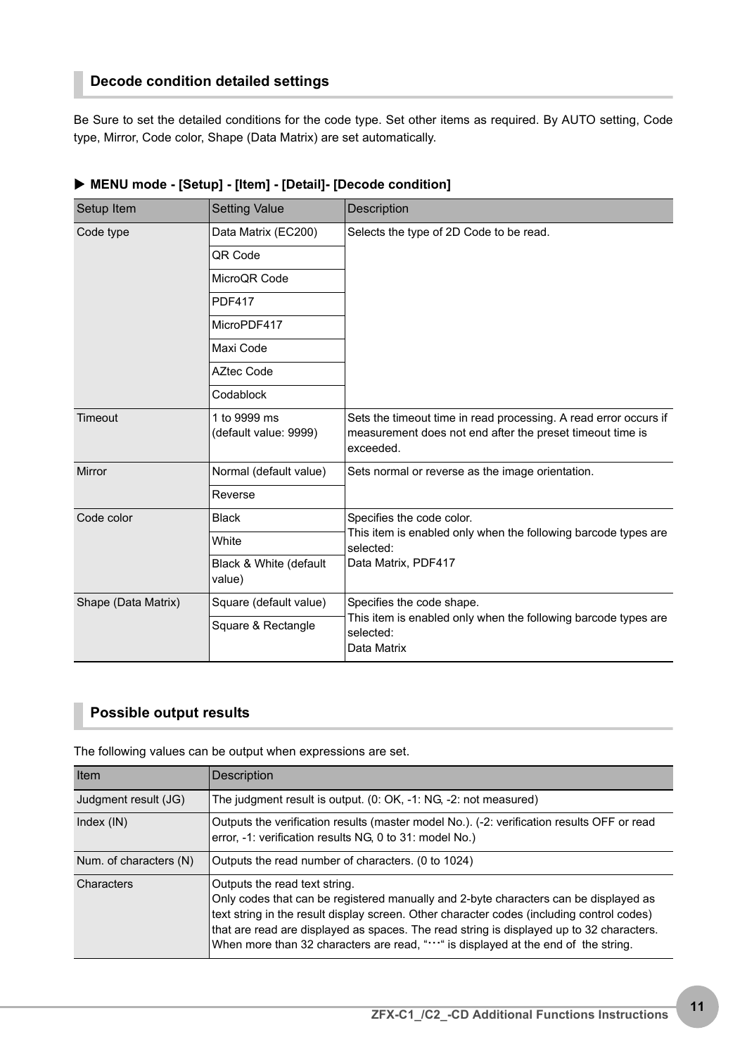# **Decode condition detailed settings**

Be Sure to set the detailed conditions for the code type. Set other items as required. By AUTO setting, Code type, Mirror, Code color, Shape (Data Matrix) are set automatically.

<span id="page-10-0"></span>

| Setup Item          | <b>Setting Value</b>                  | <b>Description</b>                                                                                                                         |  |  |  |  |  |
|---------------------|---------------------------------------|--------------------------------------------------------------------------------------------------------------------------------------------|--|--|--|--|--|
| Code type           | Data Matrix (EC200)                   | Selects the type of 2D Code to be read.                                                                                                    |  |  |  |  |  |
|                     | QR Code                               |                                                                                                                                            |  |  |  |  |  |
|                     | MicroOR Code                          |                                                                                                                                            |  |  |  |  |  |
|                     | <b>PDF417</b>                         |                                                                                                                                            |  |  |  |  |  |
|                     | MicroPDF417                           |                                                                                                                                            |  |  |  |  |  |
|                     | Maxi Code                             |                                                                                                                                            |  |  |  |  |  |
|                     | <b>AZtec Code</b>                     |                                                                                                                                            |  |  |  |  |  |
|                     | Codablock                             |                                                                                                                                            |  |  |  |  |  |
| Timeout             | 1 to 9999 ms<br>(default value: 9999) | Sets the timeout time in read processing. A read error occurs if<br>measurement does not end after the preset timeout time is<br>exceeded. |  |  |  |  |  |
| Mirror              | Normal (default value)                | Sets normal or reverse as the image orientation.                                                                                           |  |  |  |  |  |
|                     | Reverse                               |                                                                                                                                            |  |  |  |  |  |
| Code color          | <b>Black</b>                          | Specifies the code color.                                                                                                                  |  |  |  |  |  |
|                     | White                                 | This item is enabled only when the following barcode types are<br>selected:                                                                |  |  |  |  |  |
|                     | Black & White (default<br>value)      | Data Matrix, PDF417                                                                                                                        |  |  |  |  |  |
| Shape (Data Matrix) | Square (default value)                | Specifies the code shape.                                                                                                                  |  |  |  |  |  |
|                     | Square & Rectangle                    | This item is enabled only when the following barcode types are<br>selected:<br>Data Matrix                                                 |  |  |  |  |  |

#### X **MENU mode - [Setup] - [Item] - [Detail]- [Decode condition]**

## <span id="page-10-3"></span><span id="page-10-2"></span><span id="page-10-1"></span>**Possible output results**

The following values can be output when expressions are set.

| Item                   | Description                                                                                                                                                                                                                                                                                                                                                                                        |
|------------------------|----------------------------------------------------------------------------------------------------------------------------------------------------------------------------------------------------------------------------------------------------------------------------------------------------------------------------------------------------------------------------------------------------|
| Judgment result (JG)   | The judgment result is output. $(0: OK, -1: NG, -2: not measured)$                                                                                                                                                                                                                                                                                                                                 |
| Index $(IN)$           | Outputs the verification results (master model No.). (-2: verification results OFF or read<br>error, -1: verification results NG, 0 to 31: model No.)                                                                                                                                                                                                                                              |
| Num. of characters (N) | Outputs the read number of characters. (0 to 1024)                                                                                                                                                                                                                                                                                                                                                 |
| Characters             | Outputs the read text string.<br>Only codes that can be registered manually and 2-byte characters can be displayed as<br>text string in the result display screen. Other character codes (including control codes)<br>that are read are displayed as spaces. The read string is displayed up to 32 characters.<br>When more than 32 characters are read, "" is displayed at the end of the string. |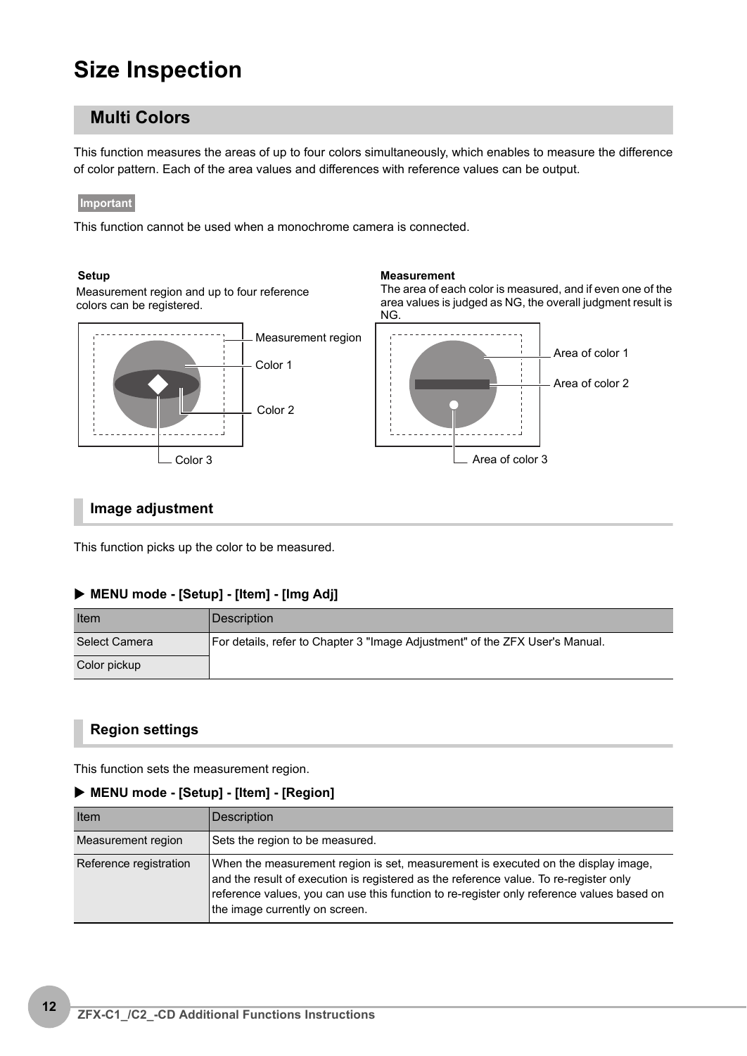# **Size Inspection**

# **Multi Colors**

This function measures the areas of up to four colors simultaneously, which enables to measure the difference of color pattern. Each of the area values and differences with reference values can be output.

#### **Important**

This function cannot be used when a monochrome camera is connected.

#### Setup **Measurement**

Measurement region and up to four reference colors can be registered.





The area of each color is measured, and if even one of the

#### **Image adjustment**

This function picks up the color to be measured.

#### X **MENU mode - [Setup] - [Item] - [Img Adj]**

| Item          | Description                                                                  |
|---------------|------------------------------------------------------------------------------|
| Select Camera | For details, refer to Chapter 3 "Image Adjustment" of the ZFX User's Manual. |
| Color pickup  |                                                                              |

#### **Region settings**

This function sets the measurement region.

#### X **MENU mode - [Setup] - [Item] - [Region]**

| Item                   | Description                                                                                                                                                                                                                                                                                               |
|------------------------|-----------------------------------------------------------------------------------------------------------------------------------------------------------------------------------------------------------------------------------------------------------------------------------------------------------|
| Measurement region     | Sets the region to be measured.                                                                                                                                                                                                                                                                           |
| Reference registration | When the measurement region is set, measurement is executed on the display image,<br>and the result of execution is registered as the reference value. To re-register only<br>reference values, you can use this function to re-register only reference values based on<br>the image currently on screen. |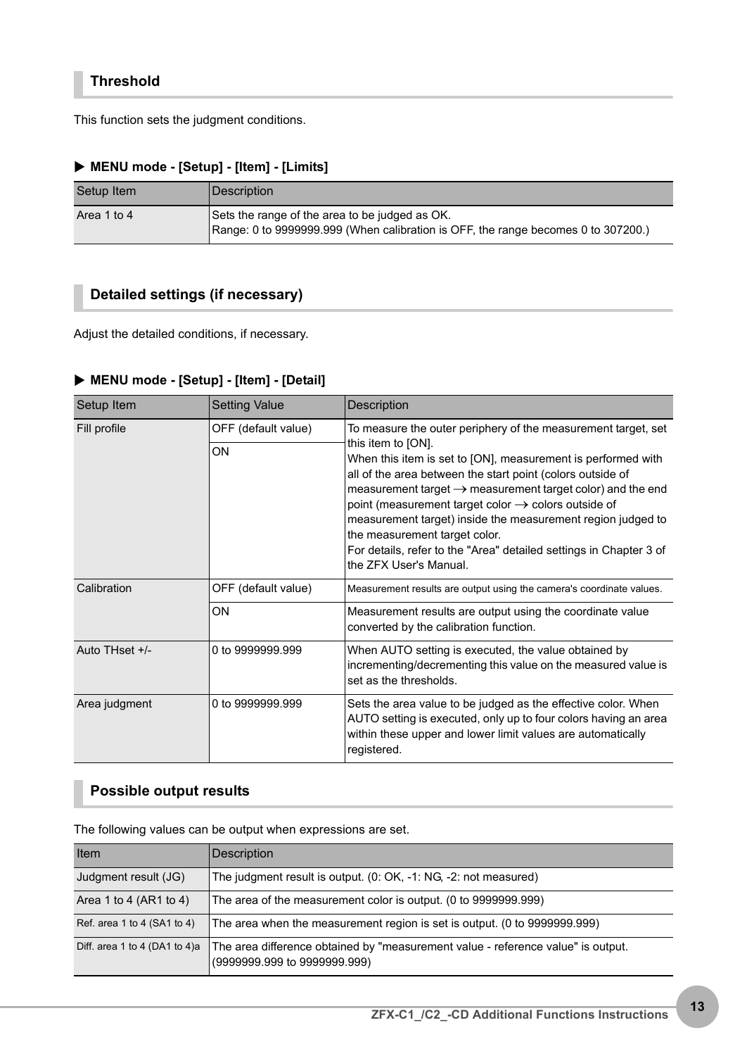This function sets the judgment conditions.

#### X **MENU mode - [Setup] - [Item] - [Limits]**

| Setup Item  | <i><b>Description</b></i>                                                                                                           |
|-------------|-------------------------------------------------------------------------------------------------------------------------------------|
| Area 1 to 4 | Sets the range of the area to be judged as OK.<br>Range: 0 to 9999999.999 (When calibration is OFF, the range becomes 0 to 307200.) |

## **Detailed settings (if necessary)**

Adjust the detailed conditions, if necessary.

#### X **MENU mode - [Setup] - [Item] - [Detail]**

| Setup Item     | <b>Setting Value</b>      | Description                                                                                                                                                                                                                                                                                                                                                                                                                                                                                                                                                    |
|----------------|---------------------------|----------------------------------------------------------------------------------------------------------------------------------------------------------------------------------------------------------------------------------------------------------------------------------------------------------------------------------------------------------------------------------------------------------------------------------------------------------------------------------------------------------------------------------------------------------------|
| Fill profile   | OFF (default value)<br>ON | To measure the outer periphery of the measurement target, set<br>this item to [ON].<br>When this item is set to [ON], measurement is performed with<br>all of the area between the start point (colors outside of<br>measurement target $\rightarrow$ measurement target color) and the end<br>point (measurement target color $\rightarrow$ colors outside of<br>measurement target) inside the measurement region judged to<br>the measurement target color.<br>For details, refer to the "Area" detailed settings in Chapter 3 of<br>the ZFX User's Manual. |
| Calibration    | OFF (default value)       | Measurement results are output using the camera's coordinate values.                                                                                                                                                                                                                                                                                                                                                                                                                                                                                           |
|                | ON                        | Measurement results are output using the coordinate value<br>converted by the calibration function.                                                                                                                                                                                                                                                                                                                                                                                                                                                            |
| Auto THset +/- | 0 to 9999999.999          | When AUTO setting is executed, the value obtained by<br>incrementing/decrementing this value on the measured value is<br>set as the thresholds.                                                                                                                                                                                                                                                                                                                                                                                                                |
| Area judgment  | 0 to 9999999.999          | Sets the area value to be judged as the effective color. When<br>AUTO setting is executed, only up to four colors having an area<br>within these upper and lower limit values are automatically<br>registered.                                                                                                                                                                                                                                                                                                                                                 |

## **Possible output results**

The following values can be output when expressions are set.

| Item                          | Description                                                                                                      |
|-------------------------------|------------------------------------------------------------------------------------------------------------------|
| Judgment result (JG)          | The judgment result is output. (0: OK, -1: NG, -2: not measured)                                                 |
| Area 1 to 4 (AR1 to 4)        | The area of the measurement color is output. (0 to 9999999.999)                                                  |
| Ref. area 1 to 4 (SA1 to 4)   | The area when the measurement region is set is output. (0 to 9999999.999)                                        |
| Diff. area 1 to 4 (DA1 to 4)a | The area difference obtained by "measurement value - reference value" is output.<br>(9999999.999 to 9999999.999) |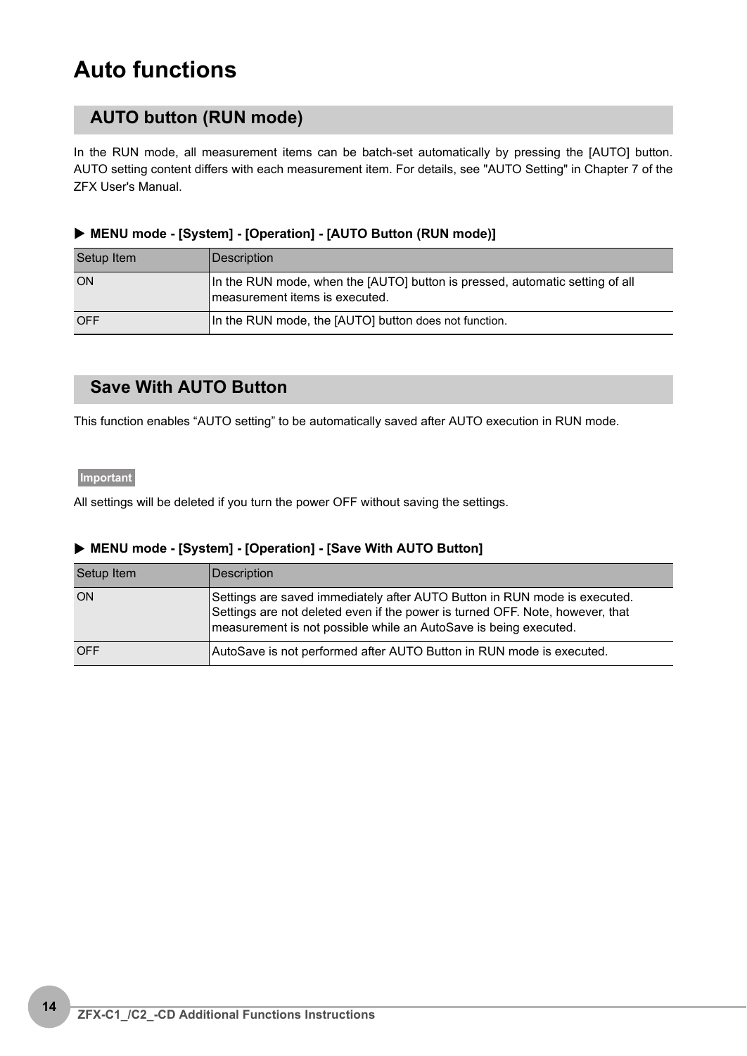# **Auto functions**

# **AUTO button (RUN mode)**

In the RUN mode, all measurement items can be batch-set automatically by pressing the [AUTO] button. AUTO setting content differs with each measurement item. For details, see "AUTO Setting" in Chapter 7 of the ZFX User's Manual.

#### X **MENU mode - [System] - [Operation] - [AUTO Button (RUN mode)]**

| Setup Item | Description                                                                                                    |
|------------|----------------------------------------------------------------------------------------------------------------|
| ON         | In the RUN mode, when the [AUTO] button is pressed, automatic setting of all<br>measurement items is executed. |
| <b>OFF</b> | In the RUN mode, the [AUTO] button does not function.                                                          |

# **Save With AUTO Button**

This function enables "AUTO setting" to be automatically saved after AUTO execution in RUN mode.

#### **Important**

All settings will be deleted if you turn the power OFF without saving the settings.

#### X **MENU mode - [System] - [Operation] - [Save With AUTO Button]**

| Setup Item | Description                                                                                                                                                                                                                    |
|------------|--------------------------------------------------------------------------------------------------------------------------------------------------------------------------------------------------------------------------------|
| ON         | Settings are saved immediately after AUTO Button in RUN mode is executed.<br>Settings are not deleted even if the power is turned OFF. Note, however, that<br>measurement is not possible while an AutoSave is being executed. |
| <b>OFF</b> | AutoSave is not performed after AUTO Button in RUN mode is executed.                                                                                                                                                           |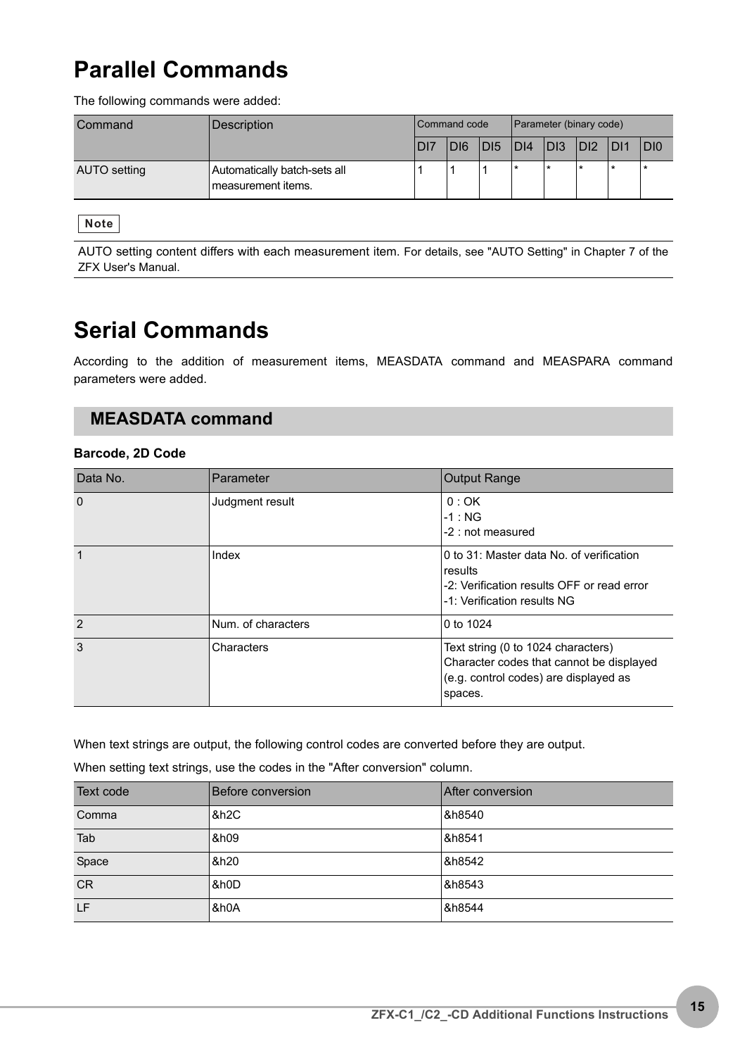# **Parallel Commands**

The following commands were added:

| Command      | Description                                          | <b>Command code</b> |                 |                 | Parameter (binary code) |         |         |     |     |
|--------------|------------------------------------------------------|---------------------|-----------------|-----------------|-------------------------|---------|---------|-----|-----|
|              |                                                      | D <sub>17</sub>     | D <sub>16</sub> | D <sub>15</sub> | DI4                     | $ D $ 3 | DI2     | DI1 | D 0 |
| AUTO setting | Automatically batch-sets all<br>I measurement items. |                     |                 |                 |                         |         | $\star$ |     |     |

**Note**

AUTO setting content differs with each measurement item. For details, see "AUTO Setting" in Chapter 7 of the ZFX User's Manual.

# **Serial Commands**

According to the addition of measurement items, MEASDATA command and MEASPARA command parameters were added.

# **MEASDATA command**

#### **Barcode, 2D Code**

| Data No.      | Parameter          | <b>Output Range</b>                                                                                                                |
|---------------|--------------------|------------------------------------------------------------------------------------------------------------------------------------|
| $\Omega$      | Judgment result    | 0:OK<br>$-1 : NG$<br>-2 : not measured                                                                                             |
| $\mathbf{1}$  | Index              | 0 to 31: Master data No. of verification<br>results<br>-2: Verification results OFF or read error<br>-1: Verification results NG   |
| $\mathcal{P}$ | Num. of characters | 0 to 1024                                                                                                                          |
| 3             | Characters         | Text string (0 to 1024 characters)<br>Character codes that cannot be displayed<br>(e.g. control codes) are displayed as<br>spaces. |

When text strings are output, the following control codes are converted before they are output.

When setting text strings, use the codes in the "After conversion" column.

| Text code | Before conversion | After conversion |
|-----------|-------------------|------------------|
| Comma     | &h <sub>2C</sub>  | &h8540           |
| Tab       | &h09              | &h8541           |
| Space     | &h20              | &h8542           |
| <b>CR</b> | &h0D              | &h8543           |
| LF        | &h0A              | &h8544           |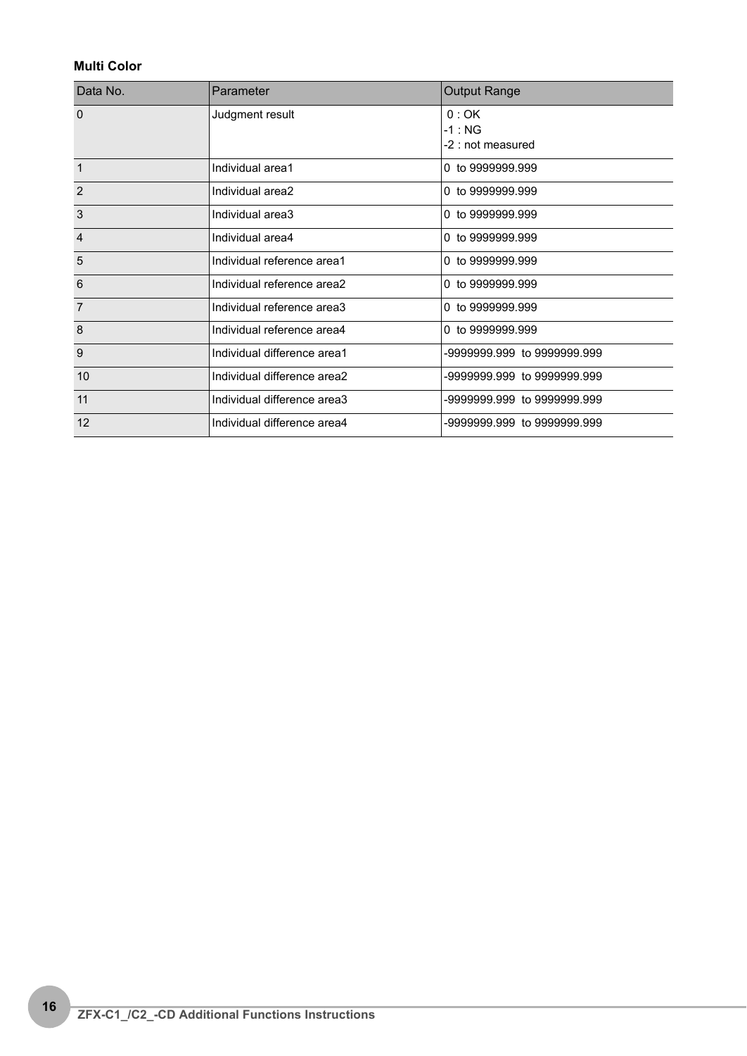#### **Multi Color**

| Data No.       | Parameter                   | <b>Output Range</b>                    |
|----------------|-----------------------------|----------------------------------------|
| $\Omega$       | Judgment result             | 0:OK<br>$-1 : NG$<br>-2 : not measured |
| $\mathbf{1}$   | Individual area1            | 0 to 9999999.999                       |
| $\overline{2}$ | Individual area2            | 0 to 9999999.999                       |
| 3              | Individual area3            | 0 to 9999999.999                       |
| $\overline{4}$ | Individual area4            | 0 to 9999999.999                       |
| 5              | Individual reference area1  | 0 to 9999999.999                       |
| 6              | Individual reference area2  | 0 to 9999999.999                       |
| $\overline{7}$ | Individual reference area3  | 0 to 9999999.999                       |
| 8              | Individual reference area4  | 0 to 9999999.999                       |
| 9              | Individual difference area1 | -9999999.999 to 9999999.999            |
| 10             | Individual difference area2 | -9999999.999 to 9999999.999            |
| 11             | Individual difference area3 | -9999999.999 to 9999999.999            |
| 12             | Individual difference area4 | -9999999 999 to 9999999 999            |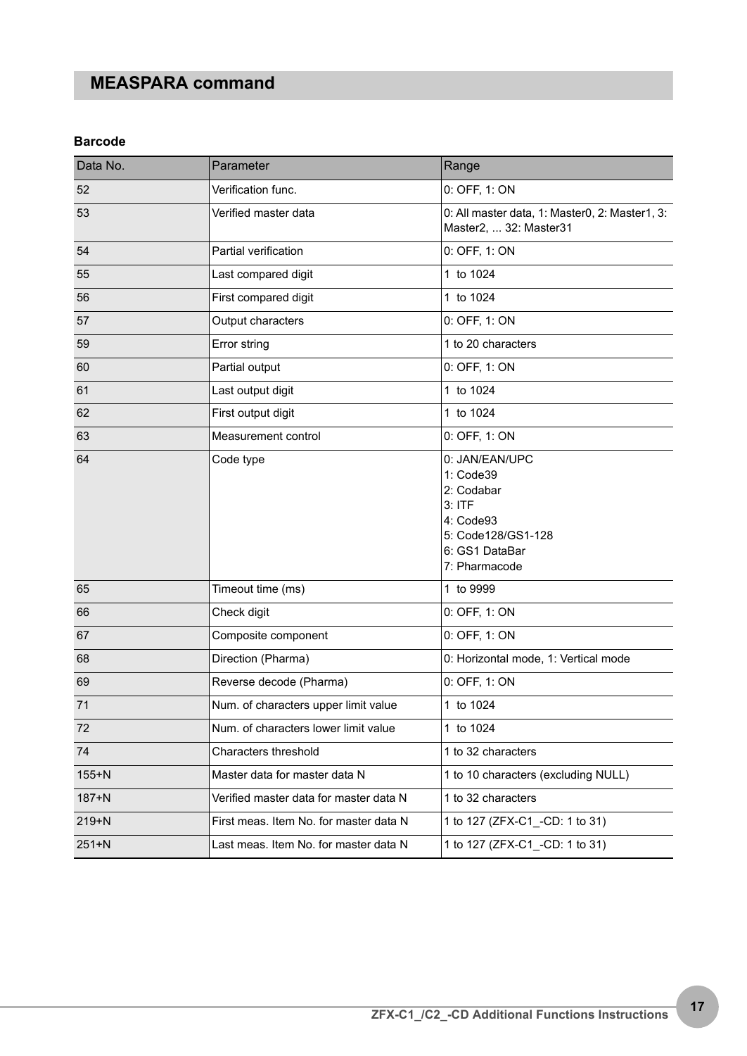# **MEASPARA command**

#### **Barcode**

| Data No.  | Parameter                              | Range                                                                                                                       |
|-----------|----------------------------------------|-----------------------------------------------------------------------------------------------------------------------------|
| 52        | Verification func.                     | 0: OFF, 1: ON                                                                                                               |
| 53        | Verified master data                   | 0: All master data, 1: Master0, 2: Master1, 3:<br>Master2,  32: Master31                                                    |
| 54        | Partial verification                   | 0: OFF, 1: ON                                                                                                               |
| 55        | Last compared digit                    | 1 to 1024                                                                                                                   |
| 56        | First compared digit                   | 1 to 1024                                                                                                                   |
| 57        | Output characters                      | 0: OFF, 1: ON                                                                                                               |
| 59        | Error string                           | 1 to 20 characters                                                                                                          |
| 60        | Partial output                         | 0: OFF, 1: ON                                                                                                               |
| 61        | Last output digit                      | 1 to 1024                                                                                                                   |
| 62        | First output digit                     | 1 to 1024                                                                                                                   |
| 63        | Measurement control                    | 0: OFF, 1: ON                                                                                                               |
| 64        | Code type                              | 0: JAN/EAN/UPC<br>1: Code39<br>2: Codabar<br>$3:$ ITF<br>4: Code93<br>5: Code128/GS1-128<br>6: GS1 DataBar<br>7: Pharmacode |
| 65        | Timeout time (ms)                      | 1 to 9999                                                                                                                   |
| 66        | Check digit                            | 0: OFF, 1: ON                                                                                                               |
| 67        | Composite component                    | 0: OFF, 1: ON                                                                                                               |
| 68        | Direction (Pharma)                     | 0: Horizontal mode, 1: Vertical mode                                                                                        |
| 69        | Reverse decode (Pharma)                | 0: OFF, 1: ON                                                                                                               |
| 71        | Num. of characters upper limit value   | 1 to 1024                                                                                                                   |
| 72        | Num, of characters lower limit value   | 1 to 1024                                                                                                                   |
| 74        | Characters threshold                   | 1 to 32 characters                                                                                                          |
| $155+N$   | Master data for master data N          | 1 to 10 characters (excluding NULL)                                                                                         |
| $187 + N$ | Verified master data for master data N | 1 to 32 characters                                                                                                          |
| $219 + N$ | First meas. Item No. for master data N | 1 to 127 (ZFX-C1 -CD: 1 to 31)                                                                                              |
| $251+N$   | Last meas. Item No. for master data N  | 1 to 127 (ZFX-C1 _-CD: 1 to 31)                                                                                             |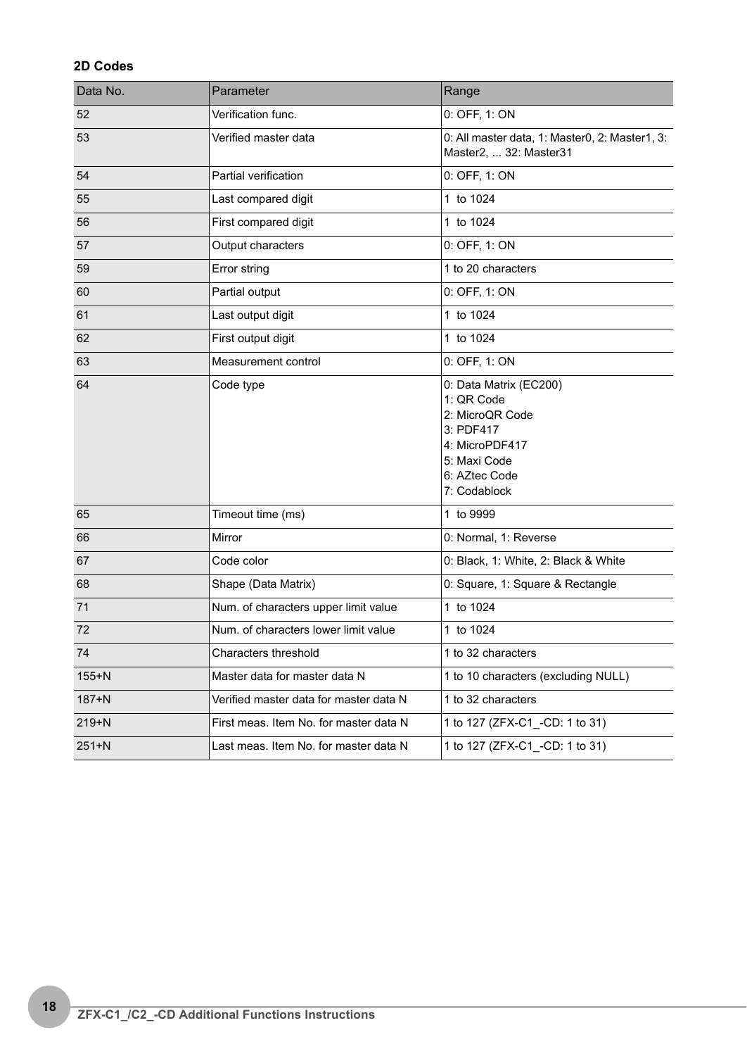#### **2D Codes**

| Data No.  | Parameter                              | Range                                                                                                                                   |
|-----------|----------------------------------------|-----------------------------------------------------------------------------------------------------------------------------------------|
| 52        | Verification func.                     | 0: OFF, 1: ON                                                                                                                           |
| 53        | Verified master data                   | 0: All master data, 1: Master0, 2: Master1, 3:<br>Master2,  32: Master31                                                                |
| 54        | Partial verification                   | 0: OFF, 1: ON                                                                                                                           |
| 55        | Last compared digit                    | 1 to 1024                                                                                                                               |
| 56        | First compared digit                   | 1 to 1024                                                                                                                               |
| 57        | Output characters                      | 0: OFF, 1: ON                                                                                                                           |
| 59        | Error string                           | 1 to 20 characters                                                                                                                      |
| 60        | Partial output                         | 0: OFF, 1: ON                                                                                                                           |
| 61        | Last output digit                      | 1 to 1024                                                                                                                               |
| 62        | First output digit                     | 1 to 1024                                                                                                                               |
| 63        | Measurement control                    | 0: OFF, 1: ON                                                                                                                           |
| 64        | Code type                              | 0: Data Matrix (EC200)<br>1: QR Code<br>2: MicroQR Code<br>3: PDF417<br>4: MicroPDF417<br>5: Maxi Code<br>6: AZtec Code<br>7: Codablock |
| 65        | Timeout time (ms)                      | 1 to 9999                                                                                                                               |
| 66        | Mirror                                 | 0: Normal, 1: Reverse                                                                                                                   |
| 67        | Code color                             | 0: Black, 1: White, 2: Black & White                                                                                                    |
| 68        | Shape (Data Matrix)                    | 0: Square, 1: Square & Rectangle                                                                                                        |
| 71        | Num. of characters upper limit value   | 1 to 1024                                                                                                                               |
| 72        | Num, of characters lower limit value   | 1 to 1024                                                                                                                               |
| 74        | Characters threshold                   | 1 to 32 characters                                                                                                                      |
| $155+N$   | Master data for master data N          | 1 to 10 characters (excluding NULL)                                                                                                     |
| $187 + N$ | Verified master data for master data N | 1 to 32 characters                                                                                                                      |
| $219+N$   | First meas. Item No. for master data N | 1 to 127 (ZFX-C1 _-CD: 1 to 31)                                                                                                         |
| $251+N$   | Last meas. Item No. for master data N  | 1 to 127 (ZFX-C1_-CD: 1 to 31)                                                                                                          |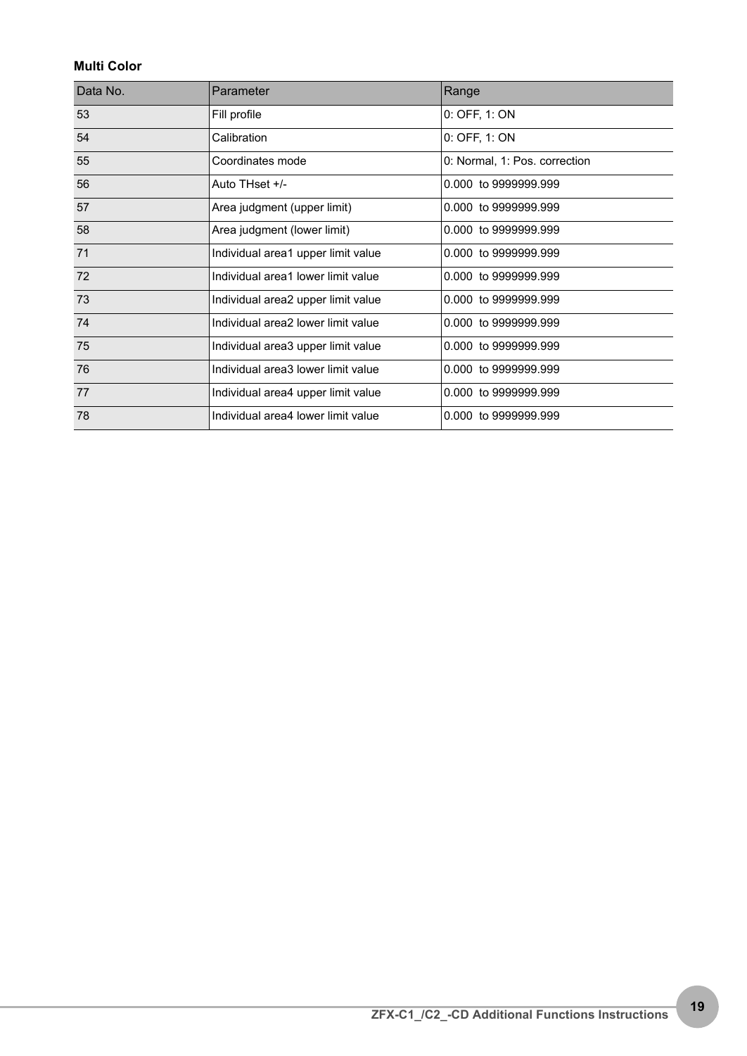#### **Multi Color**

| Data No. | Parameter                          | Range                         |
|----------|------------------------------------|-------------------------------|
| 53       | Fill profile                       | 0: OFF, 1: ON                 |
| 54       | Calibration                        | 0: OFF, 1: ON                 |
| 55       | Coordinates mode                   | 0: Normal, 1: Pos. correction |
| 56       | Auto THset +/-                     | 0.000 to 9999999.999          |
| 57       | Area judgment (upper limit)        | 0.000 to 9999999.999          |
| 58       | Area judgment (lower limit)        | 0.000 to 9999999.999          |
| 71       | Individual area1 upper limit value | 0.000 to 9999999.999          |
| 72       | Individual area1 lower limit value | 0.000 to 9999999.999          |
| 73       | Individual area2 upper limit value | 0.000 to 9999999.999          |
| 74       | Individual area2 lower limit value | 0.000 to 9999999.999          |
| 75       | Individual area3 upper limit value | 0.000 to 9999999.999          |
| 76       | Individual area3 lower limit value | 0.000 to 9999999.999          |
| 77       | Individual area4 upper limit value | 0.000 to 9999999.999          |
| 78       | Individual area4 lower limit value | 0.000 to 9999999.999          |